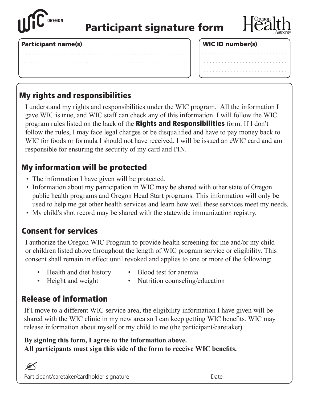

# Participant signature form



. . . . . . . . . .

#### Participant name(s) Mathematicipant name(s) and the set of the set of  $\vert$   $\vert$  WIC ID number(s)

| . <b>.</b> |  |
|------------|--|
|            |  |

# My rights and responsibilities

I understand my rights and responsibilities under the WIC program. All the information I gave WIC is true, and WIC staff can check any of this information. I will follow the WIC program rules listed on the back of the **Rights and Responsibilities** form. If I don't follow the rules, I may face legal charges or be disqualified and have to pay money back to WIC for foods or formula I should not have received. I will be issued an eWIC card and am responsible for ensuring the security of my card and PIN.

## My information will be protected

- The information I have given will be protected.
- Information about my participation in WIC may be shared with other state of Oregon public health programs and Oregon Head Start programs. This information will only be used to help me get other health services and learn how well these services meet my needs.
- My child's shot record may be shared with the statewide immunization registry.

### Consent for services

I authorize the Oregon WIC Program to provide health screening for me and/or my child or children listed above throughout the length of WIC program service or eligibility. This consent shall remain in effect until revoked and applies to one or more of the following:

- Health and diet history Blood test for anemia
	-
- 
- Height and weight Nutrition counseling/education

# Release of information

If I move to a different WIC service area, the eligibility information I have given will be shared with the WIC clinic in my new area so I can keep getting WIC benefits. WIC may release information about myself or my child to me (the participant/caretaker).

#### **By signing this form, I agree to the information above. All participants must sign this side of the form to receive WIC benefits.**

| Participant/caretaker/cardholder signature |  |
|--------------------------------------------|--|